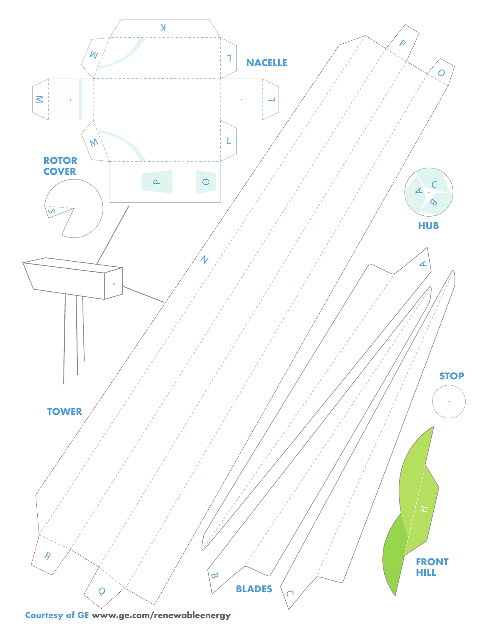

**Courtesy of GE www.ge.com/renewableenergy www.ge.com/renewableenergy**